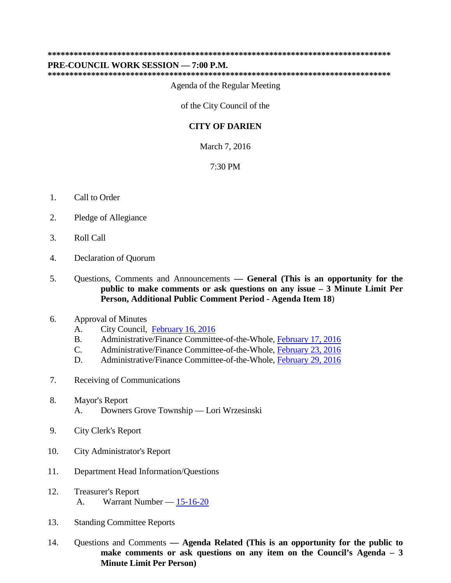#### **\*\*\*\*\*\*\*\*\*\*\*\*\*\*\*\*\*\*\*\*\*\*\*\*\*\*\*\*\*\*\*\*\*\*\*\*\*\*\*\*\*\*\*\*\*\*\*\*\*\*\*\*\*\*\*\*\*\*\*\*\*\*\*\*\*\*\*\*\*\*\*\*\*\*\*\*\*\*\***

#### **PRE-COUNCIL WORK SESSION — 7:00 P.M.**

**\*\*\*\*\*\*\*\*\*\*\*\*\*\*\*\*\*\*\*\*\*\*\*\*\*\*\*\*\*\*\*\*\*\*\*\*\*\*\*\*\*\*\*\*\*\*\*\*\*\*\*\*\*\*\*\*\*\*\*\*\*\*\*\*\*\*\*\*\*\*\*\*\*\*\*\*\*\*\*** 

Agenda of the Regular Meeting

of the City Council of the

#### **CITY OF DARIEN**

March 7, 2016

#### 7:30 PM

- 1. Call to Order
- 2. Pledge of Allegiance
- 3. Roll Call
- 4. Declaration of Quorum
- 5. 5.Questions, Comments and Announcements **— General (This is an opportunity for the public to make comments or ask questions on any issue – 3 Minute Limit Per Person, Additional Public Comment Period - Agenda Item 18**)
- 6. Approval of Minutes
	- A. City Council, [February 16, 2016](#page-2-0)
	- B. Administrative/Finance Committee-of-the-Whole, [February 17, 2016](#page-9-0)
	- C. Administrative/Finance Committee-of-the-Whole, [February 23, 2016](#page-10-0)
	- D. Administrative/Finance Committee-of-the-Whole, [February 29, 2016](#page-11-0)
- 7. Receiving of Communications
- 8. Mayor's Report A. Downers Grove Township — Lori Wrzesinski
- 9. City Clerk's Report
- 10. City Administrator's Report
- 11. Department Head Information/Questions
- 12. Treasurer's Report A. Warrant Number  $-\underline{15-16-20}$
- 13. Standing Committee Reports
- make comments or ask questions on any item on the Council's Agenda 3  $14.$ 14.Questions and Comments **— Agenda Related (This is an opportunity for the public to Minute Limit Per Person)**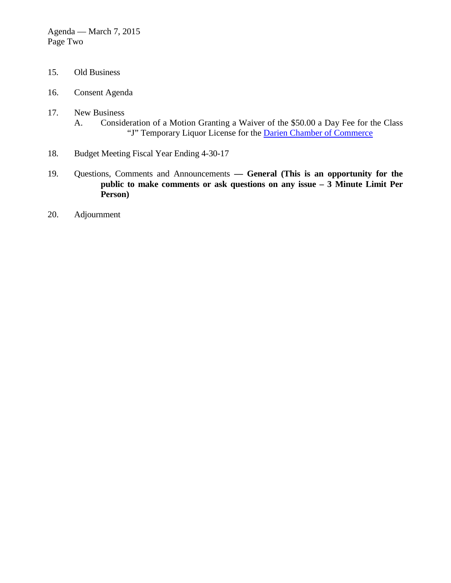- <span id="page-1-0"></span>15. Old Business
- 16. Consent Agenda
- "J" Temporary Liquor License for the **Darien Chamber of Commerce** A. 17. New Business Consideration of a Motion Granting a Waiver of the \$50.00 a Day Fee for the Class
- 18. Budget Meeting Fiscal Year Ending 4-30-17
- **public to make comments or ask questions on any issue 3 Minute Limit Per**  19. 19.Questions, Comments and Announcements **— General (This is an opportunity for the Person)**
- 20. Adjournment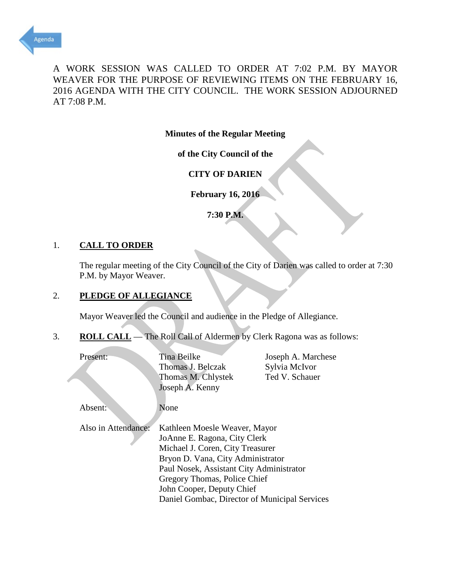<span id="page-2-0"></span>

A WORK SESSION WAS CALLED TO ORDER AT 7:02 P.M. BY MAYOR WEAVER FOR THE PURPOSE OF REVIEWING ITEMS ON THE FEBRUARY 16, 2016 AGENDA WITH THE CITY COUNCIL. THE WORK SESSION ADJOURNED AT 7:08 P.M.

**Minutes of the Regular Meeting** 

**of the City Council of the** 

**CITY OF DARIEN** 

**February 16, 2016** 

**7:30 P.M.** 

### 1. **CALL TO ORDER**

 The regular meeting of the City Council of the City of Darien was called to order at 7:30 P.M. by Mayor Weaver.

### 2. **PLEDGE OF ALLEGIANCE**

Mayor Weaver led the Council and audience in the Pledge of Allegiance.

3. **ROLL CALL** — The Roll Call of Aldermen by Clerk Ragona was as follows:

| Present:            | Tina Beilke<br>Thomas J. Belczak<br>Thomas M. Chlystek<br>Joseph A. Kenny                                                                                                                                                                                                                        | Joseph A. Marchese<br>Sylvia McIvor<br>Ted V. Schauer |  |
|---------------------|--------------------------------------------------------------------------------------------------------------------------------------------------------------------------------------------------------------------------------------------------------------------------------------------------|-------------------------------------------------------|--|
| Absent:             | None                                                                                                                                                                                                                                                                                             |                                                       |  |
| Also in Attendance: | Kathleen Moesle Weaver, Mayor<br>JoAnne E. Ragona, City Clerk<br>Michael J. Coren, City Treasurer<br>Bryon D. Vana, City Administrator<br>Paul Nosek, Assistant City Administrator<br>Gregory Thomas, Police Chief<br>John Cooper, Deputy Chief<br>Daniel Gombac, Director of Municipal Services |                                                       |  |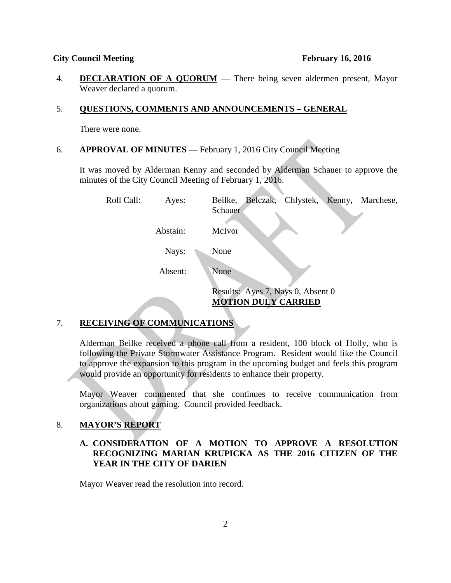#### **City Council Meeting** February 16, 2016

 4.**DECLARATION OF A QUORUM** — There being seven aldermen present, Mayor Weaver declared a quorum.  $\overline{4}$ .

#### 5. QUESTIONS, COMMENTS AND ANNOUNCEMENTS - GENERAL

There were none.

#### 6. **APPROVAL OF MINUTES** — February 1, 2016 City Council Meeting

 It was moved by Alderman Kenny and seconded by Alderman Schauer to approve the minutes of the City Council Meeting of February 1, 2016.

Roll Call: Nays: None Absent: None Results: Ayes 7, Nays 0, Absent 0 Ayes: Beilke, Belczak, Chlystek, Kenny, Marchese, Schauer Abstain: McIvor **MOTION DULY CARRIED** 

#### **RECEIVING OF COMMUNICATIONS**  7.

 Alderman Beilke received a phone call from a resident, 100 block of Holly, who is following the Private Stormwater Assistance Program. Resident would like the Council to approve the expansion to this program in the upcoming budget and feels this program would provide an opportunity for residents to enhance their property.

Mayor Weaver commented that she continues to receive communication from organizations about gaming. Council provided feedback.

#### **MAYOR'S REPORT**  8.

### **A. CONSIDERATION OF A MOTION TO APPROVE A RESOLUTION RECOGNIZING MARIAN KRUPICKA AS THE 2016 CITIZEN OF THE YEAR IN THE CITY OF DARIEN**

Mayor Weaver read the resolution into record.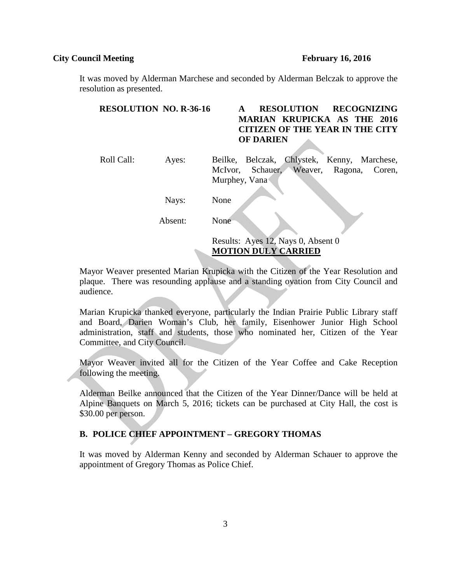#### **February 16, 2016**

#### **City Council Meeting**

audience.

It was moved by Alderman Marchese and seconded by Alderman Belczak to approve the resolution as presented.

| <b>RESOLUTION NO. R-36-16</b> |         | <b>RESOLUTION</b><br><b>RECOGNIZING</b><br><b>MARIAN KRUPICKA AS THE 2016</b><br><b>CITIZEN OF THE YEAR IN THE CITY</b><br><b>OF DARIEN</b> |
|-------------------------------|---------|---------------------------------------------------------------------------------------------------------------------------------------------|
| Roll Call:                    | Ayes:   | Belczak, Chlystek, Kenny, Marchese,<br>Beilke,<br>Schauer, Weaver, Ragona,<br>Coren,<br>McIvor,<br>Murphey, Vana                            |
|                               | Nays:   | None                                                                                                                                        |
|                               | Absent: | None                                                                                                                                        |

Results: Ayes 12, Nays 0, Absent 0

**MOTION DULY CARRIED** 

Mayor Weaver presented Marian Krupicka with the Citizen of the Year Resolution and plaque. There was resounding applause and a standing ovation from City Council and

 Marian Krupicka thanked everyone, particularly the Indian Prairie Public Library staff and Board, Darien Woman's Club, her family, Eisenhower Junior High School administration, staff and students, those who nominated her, Citizen of the Year Committee, and City Council.

Mayor Weaver invited all for the Citizen of the Year Coffee and Cake Reception following the meeting.

Alderman Beilke announced that the Citizen of the Year Dinner/Dance will be held at Alpine Banquets on March 5, 2016; tickets can be purchased at City Hall, the cost is \$30.00 per person.

### **B. POLICE CHIEF APPOINTMENT – GREGORY THOMAS**

It was moved by Alderman Kenny and seconded by Alderman Schauer to approve the appointment of Gregory Thomas as Police Chief.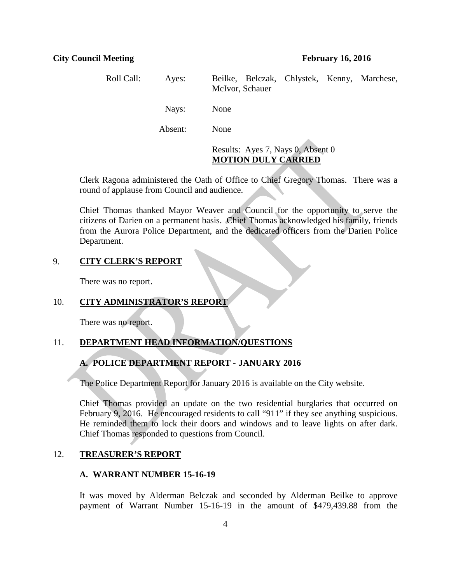Roll Call: Absent: None Results: Ayes 7, Nays 0, Absent 0 Ayes: Beilke, Belczak, Chlystek, Kenny, Marchese, McIvor, Schauer Nays: None

## **MOTION DULY CARRIED**

 Clerk Ragona administered the Oath of Office to Chief Gregory Thomas. There was a round of applause from Council and audience.

 Department. Chief Thomas thanked Mayor Weaver and Council for the opportunity to serve the citizens of Darien on a permanent basis. Chief Thomas acknowledged his family, friends from the Aurora Police Department, and the dedicated officers from the Darien Police

#### 9. **CITY CLERK'S REPORT**

There was no report.

#### 10. **CITY ADMINISTRATOR'S REPORT**

There was no report.

#### 11. **DEPARTMENT HEAD INFORMATION/QUESTIONS**

### **A. POLICE DEPARTMENT REPORT - JANUARY 2016**

The Police Department Report for January 2016 is available on the City website.

Chief Thomas provided an update on the two residential burglaries that occurred on February 9, 2016. He encouraged residents to call "911" if they see anything suspicious. He reminded them to lock their doors and windows and to leave lights on after dark. Chief Thomas responded to questions from Council.

#### 12. **TREASURER'S REPORT**

#### **A. WARRANT NUMBER 15-16-19**

 It was moved by Alderman Belczak and seconded by Alderman Beilke to approve payment of Warrant Number 15-16-19 in the amount of \$479,439.88 from the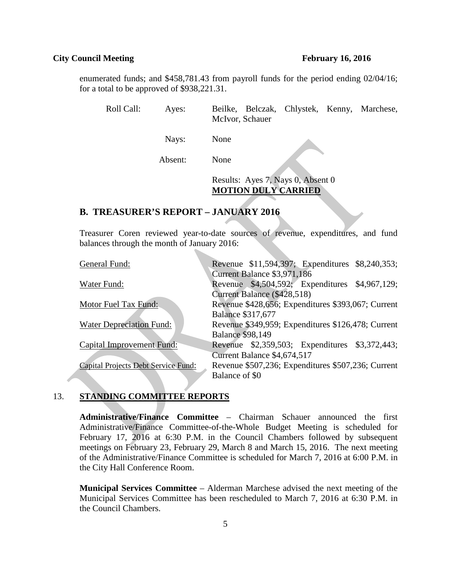#### **City Council Meeting** February 16, 2016

#### **February 16, 2016**

enumerated funds; and \$458,781.43 from payroll funds for the period ending 02/04/16; for a total to be approved of \$938,221.31.

Roll Call: Ayes: Beilke, Belczak, Chlystek, Kenny, Marchese, McIvor, Schauer

Nays: None

Absent: None

 Results: Ayes 7, Nays 0, Absent 0 **MOTION DULY CARRIED** 

#### **B. TREASURER'S REPORT – JANUARY 2016**

 Treasurer Coren reviewed year-to-date sources of revenue, expenditures, and fund balances through the month of January 2016:

| General Fund:                              |                          |                             | Revenue \$11,594,397; Expenditures \$8,240,353;    |  |
|--------------------------------------------|--------------------------|-----------------------------|----------------------------------------------------|--|
|                                            |                          | Current Balance \$3,971,186 |                                                    |  |
| Water Fund:                                |                          |                             | Revenue \$4,504,592; Expenditures \$4,967,129;     |  |
|                                            |                          | Current Balance (\$428,518) |                                                    |  |
| Motor Fuel Tax Fund:                       |                          |                             | Revenue \$428,656; Expenditures \$393,067; Current |  |
|                                            | <b>Balance \$317,677</b> |                             |                                                    |  |
| Water Depreciation Fund:                   |                          |                             | Revenue \$349,959; Expenditures \$126,478; Current |  |
|                                            | <b>Balance \$98,149</b>  |                             |                                                    |  |
| <b>Capital Improvement Fund:</b>           |                          |                             | Revenue \$2,359,503; Expenditures \$3,372,443;     |  |
|                                            |                          | Current Balance \$4,674,517 |                                                    |  |
| <b>Capital Projects Debt Service Fund:</b> |                          |                             | Revenue \$507,236; Expenditures \$507,236; Current |  |
|                                            | Balance of \$0           |                             |                                                    |  |

### 13. **STANDING COMMITTEE REPORTS**

 **Administrative/Finance Committee** – Chairman Schauer announced the first meetings on February 23, February 29, March 8 and March 15, 2016. The next meeting Administrative/Finance Committee-of-the-Whole Budget Meeting is scheduled for February 17, 2016 at 6:30 P.M. in the Council Chambers followed by subsequent of the Administrative/Finance Committee is scheduled for March 7, 2016 at 6:00 P.M. in the City Hall Conference Room.

 **Municipal Services Committee** – Alderman Marchese advised the next meeting of the Municipal Services Committee has been rescheduled to March 7, 2016 at 6:30 P.M. in the Council Chambers.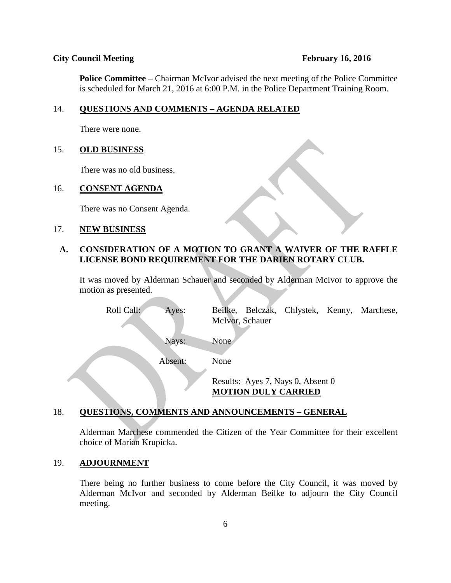#### **City Council Meeting** February 16, 2016

#### **February 16, 2016**

 **Police Committee** – Chairman McIvor advised the next meeting of the Police Committee is scheduled for March 21, 2016 at 6:00 P.M. in the Police Department Training Room.

#### 14. 14.**QUESTIONS AND COMMENTS – AGENDA RELATED**

There were none.

#### 15. **OLD BUSINESS**

There was no old business.

#### **CONSENT AGENDA** 16.

There was no Consent Agenda.

#### 17. **NEW BUSINESS**

### **A. CONSIDERATION OF A MOTION TO GRANT A WAIVER OF THE RAFFLE LICENSE BOND REQUIREMENT FOR THE DARIEN ROTARY CLUB.**

It was moved by Alderman Schauer and seconded by Alderman McIvor to approve the motion as presented.

| Roll Call: | Ayes:   |      | McIvor, Schauer |                                                                 | Beilke, Belczak, Chlystek, Kenny, Marchese, |
|------------|---------|------|-----------------|-----------------------------------------------------------------|---------------------------------------------|
|            | Nays:   | None |                 |                                                                 |                                             |
|            | Absent: | None |                 |                                                                 |                                             |
|            |         |      |                 | Results: Ayes 7, Nays 0, Absent 0<br><b>MOTION DULY CARRIED</b> |                                             |

#### **QUESTIONS, COMMENTS AND ANNOUNCEMENTS – GENERAL**  18.

 choice of Marian Krupicka. Alderman Marchese commended the Citizen of the Year Committee for their excellent

#### **ADJOURNMENT**  19.

There being no further business to come before the City Council, it was moved by Alderman McIvor and seconded by Alderman Beilke to adjourn the City Council meeting.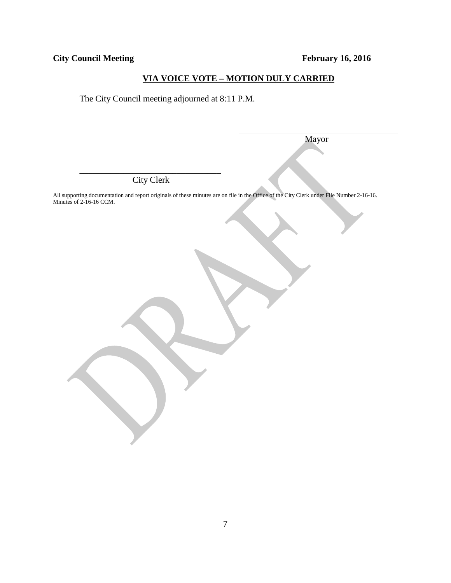**City Council Meeting** 

**February 16, 2016** 

## **VIA VOICE VOTE – MOTION DULY CARRIED**

The City Council meeting adjourned at 8:11 P.M.

Mayor

 City Clerk \_\_\_\_\_\_\_\_\_\_\_\_\_\_\_\_\_\_\_\_\_\_\_\_\_\_\_\_\_\_\_\_

All supporting documentation and report originals of these minutes are on file in the Office of the City Clerk under File Number 2-16-16. Minutes of 2-16-16 CCM.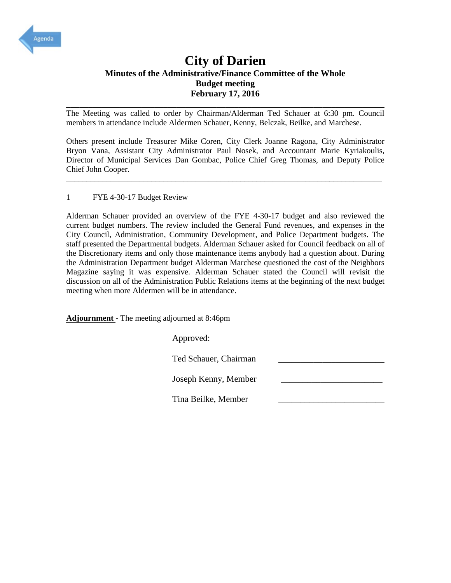<span id="page-9-0"></span>

## Minutes of the Administrative/Finance Committee of the Whole<br>Budget meeting<br>February 17, 2016 **Budget meeting February 17, 2016 City of Darien**

**\_\_\_\_\_\_\_\_\_\_\_\_\_\_\_\_\_\_\_\_\_\_\_\_\_\_\_\_\_\_\_\_\_\_\_\_\_\_\_\_\_\_\_\_\_\_\_\_\_\_\_\_\_\_\_\_\_\_\_\_\_\_\_\_\_\_\_\_\_\_\_\_**  The Meeting was called to order by Chairman/Alderman Ted Schauer at 6:30 pm. Council members in attendance include Aldermen Schauer, Kenny, Belczak, Beilke, and Marchese.

 Others present include Treasurer Mike Coren, City Clerk Joanne Ragona, City Administrator Bryon Vana, Assistant City Administrator Paul Nosek, and Accountant Marie Kyriakoulis, Chief John Cooper. Director of Municipal Services Dan Gombac, Police Chief Greg Thomas, and Deputy Police

\_\_\_\_\_\_\_\_\_\_\_\_\_\_\_\_\_\_\_\_\_\_\_\_\_\_\_\_\_\_\_\_\_\_\_\_\_\_\_\_\_\_\_\_\_\_\_\_\_\_\_\_\_\_\_\_\_\_\_\_\_\_\_\_\_\_\_\_\_\_\_\_\_\_\_\_\_\_

#### 1 FYE 4-30-17 Budget Review

 the Discretionary items and only those maintenance items anybody had a question about. During the Administration Department budget Alderman Marchese questioned the cost of the Neighbors Magazine saying it was expensive. Alderman Schauer stated the Council will revisit the Alderman Schauer provided an overview of the FYE 4-30-17 budget and also reviewed the current budget numbers. The review included the General Fund revenues, and expenses in the City Council, Administration, Community Development, and Police Department budgets. The staff presented the Departmental budgets. Alderman Schauer asked for Council feedback on all of discussion on all of the Administration Public Relations items at the beginning of the next budget meeting when more Aldermen will be in attendance.

 **Adjournment -** The meeting adjourned at 8:46pm

Approved:

Ted Schauer, Chairman \_\_\_\_\_\_\_\_\_\_\_\_\_\_\_\_\_\_\_\_\_\_\_\_

Joseph Kenny, Member \_\_\_\_\_\_\_\_\_\_\_\_\_\_\_\_\_\_\_\_\_\_\_

Tina Beilke, Member \_\_\_\_\_\_\_\_\_\_\_\_\_\_\_\_\_\_\_\_\_\_\_\_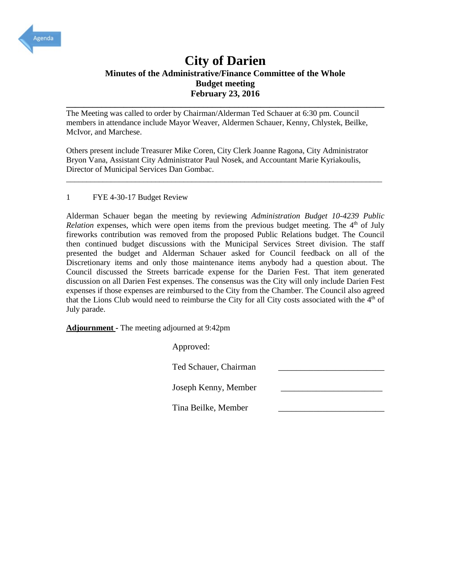<span id="page-10-0"></span>

## Minutes of the Administrative/Finance Committee of the Whole<br>Budget meeting<br>February 23, 2016 **Budget meeting February 23, 2016 City of Darien**

**\_\_\_\_\_\_\_\_\_\_\_\_\_\_\_\_\_\_\_\_\_\_\_\_\_\_\_\_\_\_\_\_\_\_\_\_\_\_\_\_\_\_\_\_\_\_\_\_\_\_\_\_\_\_\_\_\_\_\_\_\_\_\_\_\_\_\_\_\_\_\_\_**  The Meeting was called to order by Chairman/Alderman Ted Schauer at 6:30 pm. Council members in attendance include Mayor Weaver, Aldermen Schauer, Kenny, Chlystek, Beilke, McIvor, and Marchese.

 Others present include Treasurer Mike Coren, City Clerk Joanne Ragona, City Administrator Bryon Vana, Assistant City Administrator Paul Nosek, and Accountant Marie Kyriakoulis, Director of Municipal Services Dan Gombac.

\_\_\_\_\_\_\_\_\_\_\_\_\_\_\_\_\_\_\_\_\_\_\_\_\_\_\_\_\_\_\_\_\_\_\_\_\_\_\_\_\_\_\_\_\_\_\_\_\_\_\_\_\_\_\_\_\_\_\_\_\_\_\_\_\_\_\_\_\_\_\_\_\_\_\_\_\_\_

#### 1 FYE 4-30-17 Budget Review

 Alderman Schauer began the meeting by reviewing *Administration Budget 10-4239 Public*  then continued budget discussions with the Municipal Services Street division. The staff Council discussed the Streets barricade expense for the Darien Fest. That item generated that the Lions Club would need to reimburse the City for all City costs associated with the 4<sup>th</sup> of *Relation* expenses, which were open items from the previous budget meeting. The 4<sup>th</sup> of July fireworks contribution was removed from the proposed Public Relations budget. The Council presented the budget and Alderman Schauer asked for Council feedback on all of the Discretionary items and only those maintenance items anybody had a question about. The discussion on all Darien Fest expenses. The consensus was the City will only include Darien Fest expenses if those expenses are reimbursed to the City from the Chamber. The Council also agreed July parade.

 **Adjournment -** The meeting adjourned at 9:42pm

 Joseph Kenny, Member \_\_\_\_\_\_\_\_\_\_\_\_\_\_\_\_\_\_\_\_\_\_\_ Tina Beilke, Member \_\_\_\_\_\_\_\_\_\_\_\_\_\_\_\_\_\_\_\_\_\_\_\_ Approved: Ted Schauer, Chairman \_\_\_\_\_\_\_\_\_\_\_\_\_\_\_\_\_\_\_\_\_\_\_\_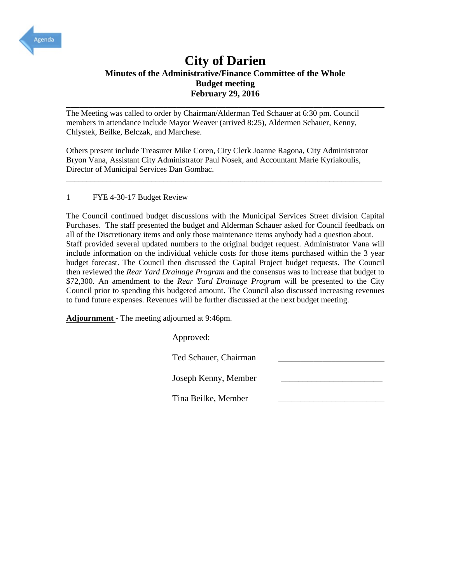<span id="page-11-0"></span>

## Minutes of the Administrative/Finance Committee of the Whole<br>Budget meeting<br>February 29, 2016 **Budget meeting February 29, 2016 City of Darien**

**\_\_\_\_\_\_\_\_\_\_\_\_\_\_\_\_\_\_\_\_\_\_\_\_\_\_\_\_\_\_\_\_\_\_\_\_\_\_\_\_\_\_\_\_\_\_\_\_\_\_\_\_\_\_\_\_\_\_\_\_\_\_\_\_\_\_\_\_\_\_\_\_**  The Meeting was called to order by Chairman/Alderman Ted Schauer at 6:30 pm. Council members in attendance include Mayor Weaver (arrived 8:25), Aldermen Schauer, Kenny, Chlystek, Beilke, Belczak, and Marchese.

 Others present include Treasurer Mike Coren, City Clerk Joanne Ragona, City Administrator Bryon Vana, Assistant City Administrator Paul Nosek, and Accountant Marie Kyriakoulis, Director of Municipal Services Dan Gombac.

\_\_\_\_\_\_\_\_\_\_\_\_\_\_\_\_\_\_\_\_\_\_\_\_\_\_\_\_\_\_\_\_\_\_\_\_\_\_\_\_\_\_\_\_\_\_\_\_\_\_\_\_\_\_\_\_\_\_\_\_\_\_\_\_\_\_\_\_\_\_\_\_\_\_\_\_\_\_

#### 1 FYE 4-30-17 Budget Review

 all of the Discretionary items and only those maintenance items anybody had a question about. Staff provided several updated numbers to the original budget request. Administrator Vana will budget forecast. The Council then discussed the Capital Project budget requests. The Council Council prior to spending this budgeted amount. The Council also discussed increasing revenues to fund future expenses. Revenues will be further discussed at the next budget meeting. The Council continued budget discussions with the Municipal Services Street division Capital Purchases. The staff presented the budget and Alderman Schauer asked for Council feedback on include information on the individual vehicle costs for those items purchased within the 3 year then reviewed the *Rear Yard Drainage Program* and the consensus was to increase that budget to \$72,300. An amendment to the *Rear Yard Drainage Program* will be presented to the City

 **Adjournment -** The meeting adjourned at 9:46pm.

Approved:

Ted Schauer, Chairman

Joseph Kenny, Member \_\_\_\_\_\_\_\_\_\_\_\_\_\_\_\_\_\_\_\_\_\_\_

Tina Beilke, Member \_\_\_\_\_\_\_\_\_\_\_\_\_\_\_\_\_\_\_\_\_\_\_\_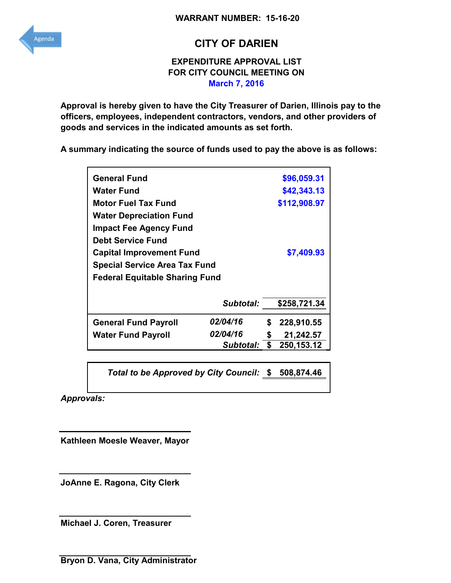<span id="page-12-0"></span>

## **CITY OF DARIEN**

## **EXPENDITURE APPROVAL LIST FOR CITY COUNCIL MEETING ON March 7, 2016**

**Approval is hereby given to have the City Treasurer of Darien, Illinois pay to the officers, employees, independent contractors, vendors, and other providers of goods and services in the indicated amounts as set forth.** 

**A summary indicating the source of funds used to pay the above is as follows:** 

| <b>General Fund</b>                   |           |    | \$96,059.31  |
|---------------------------------------|-----------|----|--------------|
| Water Fund                            |           |    | \$42,343.13  |
| <b>Motor Fuel Tax Fund</b>            |           |    | \$112,908.97 |
| <b>Water Depreciation Fund</b>        |           |    |              |
| <b>Impact Fee Agency Fund</b>         |           |    |              |
| <b>Debt Service Fund</b>              |           |    |              |
| <b>Capital Improvement Fund</b>       |           |    | \$7,409.93   |
| <b>Special Service Area Tax Fund</b>  |           |    |              |
| <b>Federal Equitable Sharing Fund</b> |           |    |              |
|                                       |           |    |              |
|                                       | Subtotal: |    | \$258,721.34 |
| <b>General Fund Payroll</b>           | 02/04/16  | S  | 228,910.55   |
| <b>Water Fund Payroll</b>             | 02/04/16  | S  | 21,242.57    |
|                                       | Subtotal: | \$ | 250, 153. 12 |

*Total to be Approved by City Council:* **\$ 508,874.46** 

*Approvals:* 

**Kathleen Moesle Weaver, Mayor** 

**JoAnne E. Ragona, City Clerk** 

**Michael J. Coren, Treasurer**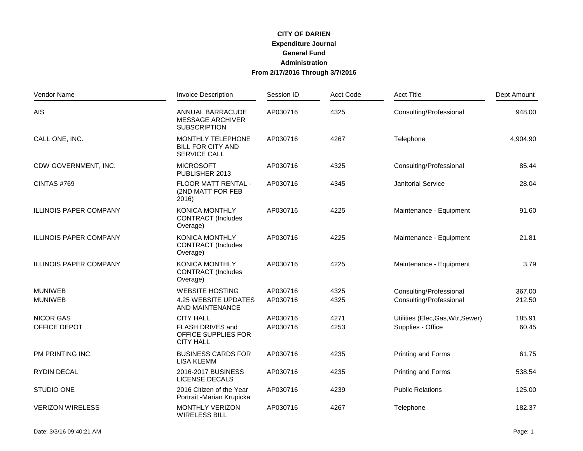## **CITY OF DARIEN Administration CITY OF DARIEN<br>Expenditure Journal<br>General Fund<br>Administration<br>From 2/17/2016 Through 3/7/2016**

| Vendor Name                   | <b>Invoice Description</b>                                         | Session ID | <b>Acct Code</b> | <b>Acct Title</b>                 | Dept Amount |
|-------------------------------|--------------------------------------------------------------------|------------|------------------|-----------------------------------|-------------|
| <b>AIS</b>                    | ANNUAL BARRACUDE<br><b>MESSAGE ARCHIVER</b><br><b>SUBSCRIPTION</b> | AP030716   | 4325             | Consulting/Professional           | 948.00      |
| CALL ONE, INC.                | MONTHLY TELEPHONE<br><b>BILL FOR CITY AND</b><br>SERVICE CALL      | AP030716   | 4267             | Telephone                         | 4,904.90    |
| CDW GOVERNMENT, INC.          | <b>MICROSOFT</b><br>PUBLISHER 2013                                 | AP030716   | 4325             | Consulting/Professional           | 85.44       |
| CINTAS#769                    | FLOOR MATT RENTAL -<br>(2ND MATT FOR FEB<br>2016)                  | AP030716   | 4345             | <b>Janitorial Service</b>         | 28.04       |
| <b>ILLINOIS PAPER COMPANY</b> | <b>KONICA MONTHLY</b><br><b>CONTRACT</b> (Includes<br>Overage)     | AP030716   | 4225             | Maintenance - Equipment           | 91.60       |
| <b>ILLINOIS PAPER COMPANY</b> | <b>KONICA MONTHLY</b><br><b>CONTRACT</b> (Includes<br>Overage)     | AP030716   | 4225             | Maintenance - Equipment           | 21.81       |
| <b>ILLINOIS PAPER COMPANY</b> | <b>KONICA MONTHLY</b><br><b>CONTRACT</b> (Includes<br>Overage)     | AP030716   | 4225             | Maintenance - Equipment           | 3.79        |
| <b>MUNIWEB</b>                | <b>WEBSITE HOSTING</b>                                             | AP030716   | 4325             | Consulting/Professional           | 367.00      |
| <b>MUNIWEB</b>                | 4.25 WEBSITE UPDATES<br>AND MAINTENANCE                            | AP030716   | 4325             | Consulting/Professional           | 212.50      |
| <b>NICOR GAS</b>              | <b>CITY HALL</b>                                                   | AP030716   | 4271             | Utilities (Elec, Gas, Wtr, Sewer) | 185.91      |
| OFFICE DEPOT                  | FLASH DRIVES and<br>OFFICE SUPPLIES FOR<br><b>CITY HALL</b>        | AP030716   | 4253             | Supplies - Office                 | 60.45       |
| PM PRINTING INC.              | <b>BUSINESS CARDS FOR</b><br><b>LISA KLEMM</b>                     | AP030716   | 4235             | Printing and Forms                | 61.75       |
| <b>RYDIN DECAL</b>            | 2016-2017 BUSINESS<br><b>LICENSE DECALS</b>                        | AP030716   | 4235             | Printing and Forms                | 538.54      |
| STUDIO ONE                    | 2016 Citizen of the Year<br>Portrait - Marian Krupicka             | AP030716   | 4239             | <b>Public Relations</b>           | 125.00      |
| <b>VERIZON WIRELESS</b>       | MONTHLY VERIZON<br><b>WIRELESS BILL</b>                            | AP030716   | 4267             | Telephone                         | 182.37      |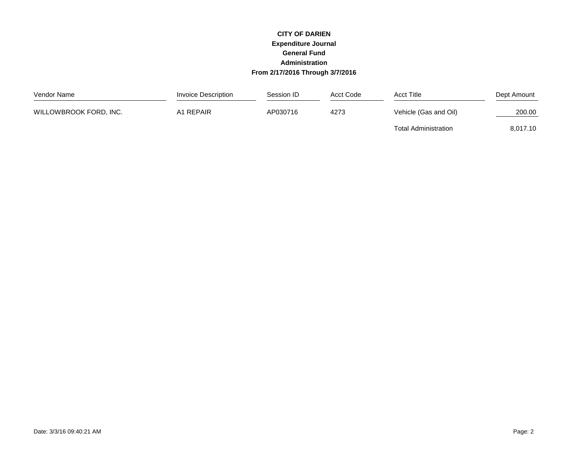#### **CITY OF DARIEN Expenditure Journal General Fund Administration From 2/17/2016 Through 3/7/2016**

| Vendor Name            | Invoice Description | Session ID | Acct Code | <b>Acct Title</b>           | Dept Amount |
|------------------------|---------------------|------------|-----------|-----------------------------|-------------|
| WILLOWBROOK FORD, INC. | A1 REPAIR           | AP030716   | 4273      | Vehicle (Gas and Oil)       | 200.00      |
|                        |                     |            |           | <b>Total Administration</b> | 8,017.10    |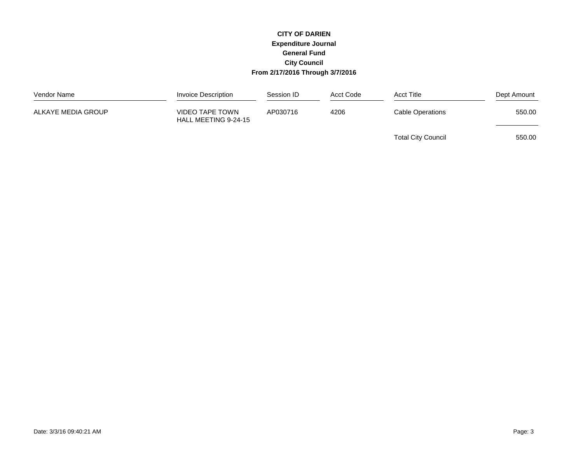#### **CITY OF DARIEN Expenditure Journal General Fund City Council From 2/17/2016 Through 3/7/2016**

| Vendor Name        | Invoice Description                     | Session ID | Acct Code | <b>Acct Title</b>         | Dept Amount |
|--------------------|-----------------------------------------|------------|-----------|---------------------------|-------------|
| ALKAYE MEDIA GROUP | VIDEO TAPE TOWN<br>HALL MEETING 9-24-15 | AP030716   | 4206      | <b>Cable Operations</b>   | 550.00      |
|                    |                                         |            |           | <b>Total City Council</b> | 550.00      |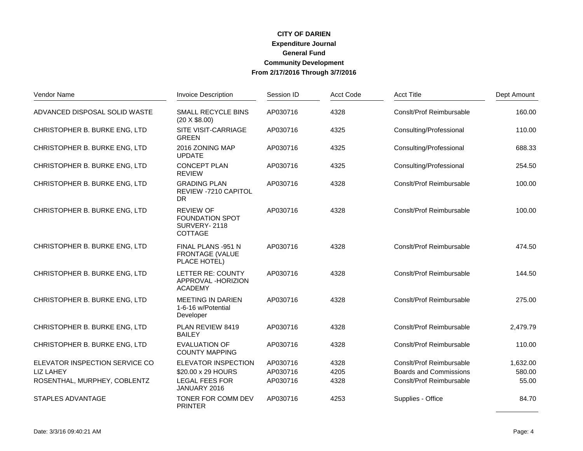# **CITY OF DARIEN CITY OF DARIEN<br>Expenditure Journal<br>General Fund<br>Community Development<br>From 2/17/2016 Through 3/7/2016**

| Vendor Name                    | <b>Invoice Description</b>                                            | Session ID | Acct Code | <b>Acct Title</b>             | Dept Amount |
|--------------------------------|-----------------------------------------------------------------------|------------|-----------|-------------------------------|-------------|
| ADVANCED DISPOSAL SOLID WASTE  | SMALL RECYCLE BINS<br>$(20 \times $8.00)$                             | AP030716   | 4328      | Consit/Prof Reimbursable      | 160.00      |
| CHRISTOPHER B. BURKE ENG, LTD  | <b>SITE VISIT-CARRIAGE</b><br><b>GREEN</b>                            | AP030716   | 4325      | Consulting/Professional       | 110.00      |
| CHRISTOPHER B. BURKE ENG, LTD  | 2016 ZONING MAP<br><b>UPDATE</b>                                      | AP030716   | 4325      | Consulting/Professional       | 688.33      |
| CHRISTOPHER B. BURKE ENG, LTD  | <b>CONCEPT PLAN</b><br><b>REVIEW</b>                                  | AP030716   | 4325      | Consulting/Professional       | 254.50      |
| CHRISTOPHER B. BURKE ENG, LTD  | <b>GRADING PLAN</b><br><b>REVIEW -7210 CAPITOL</b><br><b>DR</b>       | AP030716   | 4328      | Consit/Prof Reimbursable      | 100.00      |
| CHRISTOPHER B. BURKE ENG, LTD  | <b>REVIEW OF</b><br><b>FOUNDATION SPOT</b><br>SURVERY-2118<br>COTTAGE | AP030716   | 4328      | Consit/Prof Reimbursable      | 100.00      |
| CHRISTOPHER B. BURKE ENG, LTD  | FINAL PLANS -951 N<br><b>FRONTAGE (VALUE</b><br>PLACE HOTEL)          | AP030716   | 4328      | Consit/Prof Reimbursable      | 474.50      |
| CHRISTOPHER B. BURKE ENG, LTD  | LETTER RE: COUNTY<br>APPROVAL -HORIZION<br><b>ACADEMY</b>             | AP030716   | 4328      | Consit/Prof Reimbursable      | 144.50      |
| CHRISTOPHER B. BURKE ENG, LTD  | <b>MEETING IN DARIEN</b><br>1-6-16 w/Potential<br>Developer           | AP030716   | 4328      | Consit/Prof Reimbursable      | 275.00      |
| CHRISTOPHER B. BURKE ENG, LTD  | PLAN REVIEW 8419<br><b>BAILEY</b>                                     | AP030716   | 4328      | Consit/Prof Reimbursable      | 2,479.79    |
| CHRISTOPHER B. BURKE ENG, LTD  | <b>EVALUATION OF</b><br><b>COUNTY MAPPING</b>                         | AP030716   | 4328      | Consit/Prof Reimbursable      | 110.00      |
| ELEVATOR INSPECTION SERVICE CO | <b>ELEVATOR INSPECTION</b>                                            | AP030716   | 4328      | Consit/Prof Reimbursable      | 1,632.00    |
| <b>LIZ LAHEY</b>               | \$20.00 x 29 HOURS                                                    | AP030716   | 4205      | <b>Boards and Commissions</b> | 580.00      |
| ROSENTHAL, MURPHEY, COBLENTZ   | LEGAL FEES FOR<br>JANUARY 2016                                        | AP030716   | 4328      | Consit/Prof Reimbursable      | 55.00       |
| <b>STAPLES ADVANTAGE</b>       | TONER FOR COMM DEV<br><b>PRINTER</b>                                  | AP030716   | 4253      | Supplies - Office             | 84.70       |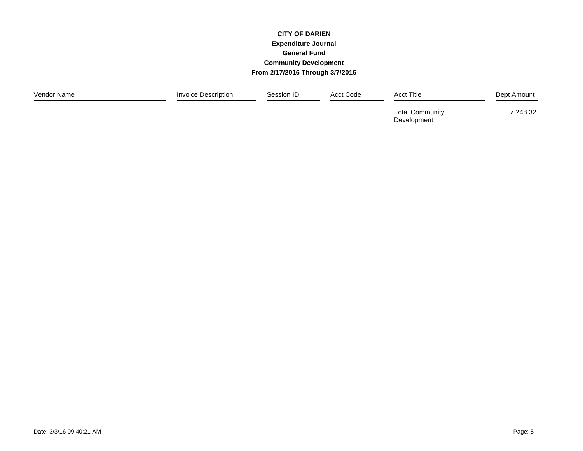# **CITY OF DARIEN CITY OF DARIEN<br>Expenditure Journal<br>General Fund<br>Community Development<br>From 2/17/2016 Through 3/7/2016**

| Vendor Name | Invoice Description | Session ID | Acct Code | <b>Acct Title</b>                     | Dept Amount |
|-------------|---------------------|------------|-----------|---------------------------------------|-------------|
|             |                     |            |           | <b>Total Community</b><br>Development | 7,248.32    |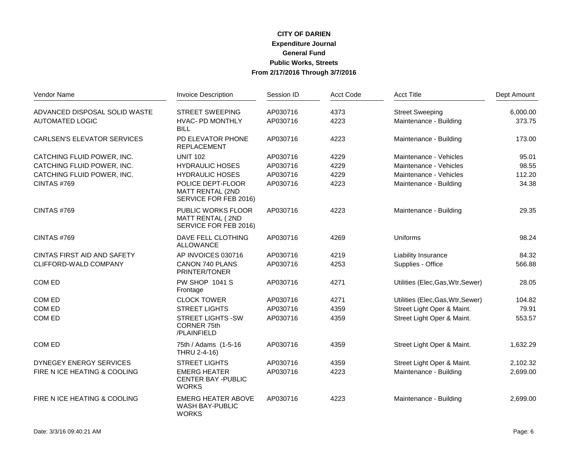# **CITY OF DARIEN CITY OF DARIEN<br>Expenditure Journal<br>General Fund<br>Public Works, Streets<br>From 2/17/2016 Through 3/7/2016**

| Vendor Name                        | <b>Invoice Description</b>                                             | Session ID | <b>Acct Code</b> | <b>Acct Title</b>                 | Dept Amount |
|------------------------------------|------------------------------------------------------------------------|------------|------------------|-----------------------------------|-------------|
| ADVANCED DISPOSAL SOLID WASTE      | <b>STREET SWEEPING</b>                                                 | AP030716   | 4373             | <b>Street Sweeping</b>            | 6,000.00    |
| <b>AUTOMATED LOGIC</b>             | <b>HVAC- PD MONTHLY</b><br><b>BILL</b>                                 | AP030716   | 4223             | Maintenance - Building            | 373.75      |
| <b>CARLSEN'S ELEVATOR SERVICES</b> | PD ELEVATOR PHONE<br><b>REPLACEMENT</b>                                | AP030716   | 4223             | Maintenance - Building            | 173.00      |
| CATCHING FLUID POWER, INC.         | <b>UNIT 102</b>                                                        | AP030716   | 4229             | Maintenance - Vehicles            | 95.01       |
| CATCHING FLUID POWER, INC.         | <b>HYDRAULIC HOSES</b>                                                 | AP030716   | 4229             | Maintenance - Vehicles            | 98.55       |
| CATCHING FLUID POWER, INC.         | <b>HYDRAULIC HOSES</b>                                                 | AP030716   | 4229             | Maintenance - Vehicles            | 112.20      |
| CINTAS #769                        | POLICE DEPT-FLOOR<br>MATT RENTAL (2ND<br>SERVICE FOR FEB 2016)         | AP030716   | 4223             | Maintenance - Building            | 34.38       |
| CINTAS #769                        | PUBLIC WORKS FLOOR<br><b>MATT RENTAL (2ND</b><br>SERVICE FOR FEB 2016) | AP030716   | 4223             | Maintenance - Building            | 29.35       |
| CINTAS #769                        | DAVE FELL CLOTHING<br><b>ALLOWANCE</b>                                 | AP030716   | 4269             | Uniforms                          | 98.24       |
| CINTAS FIRST AID AND SAFETY        | AP INVOICES 030716                                                     | AP030716   | 4219             | Liability Insurance               | 84.32       |
| CLIFFORD-WALD COMPANY              | CANON 740 PLANS<br>PRINTER/TONER                                       | AP030716   | 4253             | Supplies - Office                 | 566.88      |
| COM ED                             | <b>PW SHOP 1041 S</b><br>Frontage                                      | AP030716   | 4271             | Utilities (Elec, Gas, Wtr, Sewer) | 28.05       |
| COM ED                             | <b>CLOCK TOWER</b>                                                     | AP030716   | 4271             | Utilities (Elec, Gas, Wtr, Sewer) | 104.82      |
| COM ED                             | <b>STREET LIGHTS</b>                                                   | AP030716   | 4359             | Street Light Oper & Maint.        | 79.91       |
| COM ED                             | <b>STREET LIGHTS -SW</b><br><b>CORNER 75th</b><br>/PLAINFIELD          | AP030716   | 4359             | Street Light Oper & Maint.        | 553.57      |
| COM ED                             | 75th / Adams (1-5-16<br>THRU 2-4-16)                                   | AP030716   | 4359             | Street Light Oper & Maint.        | 1,632.29    |
| DYNEGEY ENERGY SERVICES            | <b>STREET LIGHTS</b>                                                   | AP030716   | 4359             | Street Light Oper & Maint.        | 2,102.32    |
| FIRE N ICE HEATING & COOLING       | <b>EMERG HEATER</b><br><b>CENTER BAY - PUBLIC</b><br><b>WORKS</b>      | AP030716   | 4223             | Maintenance - Building            | 2,699.00    |
| FIRE N ICE HEATING & COOLING       | <b>EMERG HEATER ABOVE</b><br>WASH BAY-PUBLIC<br><b>WORKS</b>           | AP030716   | 4223             | Maintenance - Building            | 2,699.00    |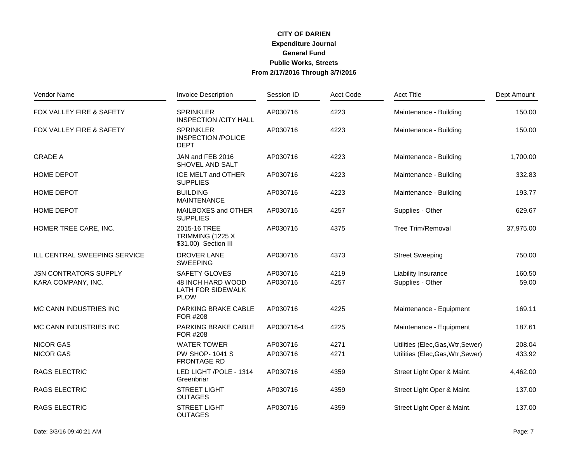# **CITY OF DARIEN CITY OF DARIEN<br>Expenditure Journal<br>General Fund<br>Public Works, Streets<br>From 2/17/2016 Through 3/7/2016**

| Vendor Name                  | <b>Invoice Description</b>                                   | Session ID | <b>Acct Code</b> | <b>Acct Title</b>                 | Dept Amount |
|------------------------------|--------------------------------------------------------------|------------|------------------|-----------------------------------|-------------|
| FOX VALLEY FIRE & SAFETY     | <b>SPRINKLER</b><br><b>INSPECTION /CITY HALL</b>             | AP030716   | 4223             | Maintenance - Building            | 150.00      |
| FOX VALLEY FIRE & SAFETY     | <b>SPRINKLER</b><br><b>INSPECTION /POLICE</b><br><b>DEPT</b> | AP030716   | 4223             | Maintenance - Building            | 150.00      |
| <b>GRADE A</b>               | JAN and FEB 2016<br>SHOVEL AND SALT                          | AP030716   | 4223             | Maintenance - Building            | 1,700.00    |
| HOME DEPOT                   | ICE MELT and OTHER<br><b>SUPPLIES</b>                        | AP030716   | 4223             | Maintenance - Building            | 332.83      |
| <b>HOME DEPOT</b>            | <b>BUILDING</b><br><b>MAINTENANCE</b>                        | AP030716   | 4223             | Maintenance - Building            | 193.77      |
| HOME DEPOT                   | MAILBOXES and OTHER<br><b>SUPPLIES</b>                       | AP030716   | 4257             | Supplies - Other                  | 629.67      |
| HOMER TREE CARE, INC.        | 2015-16 TREE<br>TRIMMING (1225 X<br>\$31.00) Section III     | AP030716   | 4375             | <b>Tree Trim/Removal</b>          | 37,975.00   |
| ILL CENTRAL SWEEPING SERVICE | <b>DROVER LANE</b><br><b>SWEEPING</b>                        | AP030716   | 4373             | <b>Street Sweeping</b>            | 750.00      |
| <b>JSN CONTRATORS SUPPLY</b> | <b>SAFETY GLOVES</b>                                         | AP030716   | 4219             | Liability Insurance               | 160.50      |
| KARA COMPANY, INC.           | 48 INCH HARD WOOD<br><b>LATH FOR SIDEWALK</b><br><b>PLOW</b> | AP030716   | 4257             | Supplies - Other                  | 59.00       |
| MC CANN INDUSTRIES INC       | <b>PARKING BRAKE CABLE</b><br>FOR #208                       | AP030716   | 4225             | Maintenance - Equipment           | 169.11      |
| MC CANN INDUSTRIES INC       | <b>PARKING BRAKE CABLE</b><br>FOR #208                       | AP030716-4 | 4225             | Maintenance - Equipment           | 187.61      |
| <b>NICOR GAS</b>             | <b>WATER TOWER</b>                                           | AP030716   | 4271             | Utilities (Elec, Gas, Wtr, Sewer) | 208.04      |
| <b>NICOR GAS</b>             | <b>PW SHOP-1041 S</b><br><b>FRONTAGE RD</b>                  | AP030716   | 4271             | Utilities (Elec, Gas, Wtr, Sewer) | 433.92      |
| <b>RAGS ELECTRIC</b>         | LED LIGHT /POLE - 1314<br>Greenbriar                         | AP030716   | 4359             | Street Light Oper & Maint.        | 4,462.00    |
| <b>RAGS ELECTRIC</b>         | <b>STREET LIGHT</b><br><b>OUTAGES</b>                        | AP030716   | 4359             | Street Light Oper & Maint.        | 137.00      |
| <b>RAGS ELECTRIC</b>         | <b>STREET LIGHT</b><br><b>OUTAGES</b>                        | AP030716   | 4359             | Street Light Oper & Maint.        | 137.00      |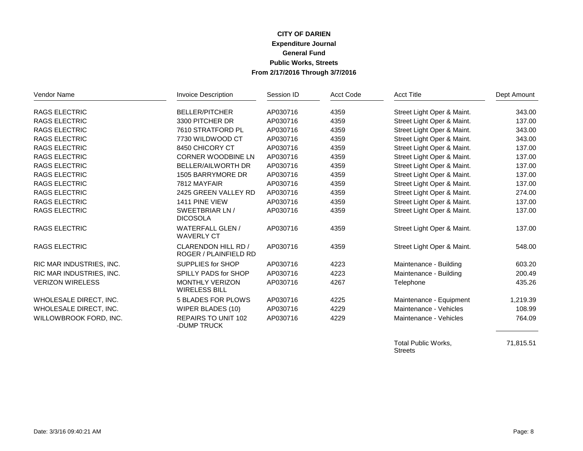## **CITY OF DARIEN CITY OF DARIEN<br>Expenditure Journal<br>General Fund<br>Public Works, Streets<br>From 2/17/2016 Through 3/7/2016**

| Vendor Name              | <b>Invoice Description</b>                          | Session ID | <b>Acct Code</b> | <b>Acct Title</b>          | Dept Amount |
|--------------------------|-----------------------------------------------------|------------|------------------|----------------------------|-------------|
| <b>RAGS ELECTRIC</b>     | <b>BELLER/PITCHER</b>                               | AP030716   | 4359             | Street Light Oper & Maint. | 343.00      |
| <b>RAGS ELECTRIC</b>     | 3300 PITCHER DR                                     | AP030716   | 4359             | Street Light Oper & Maint. | 137.00      |
| <b>RAGS ELECTRIC</b>     | 7610 STRATFORD PL                                   | AP030716   | 4359             | Street Light Oper & Maint. | 343.00      |
| <b>RAGS ELECTRIC</b>     | 7730 WILDWOOD CT                                    | AP030716   | 4359             | Street Light Oper & Maint. | 343.00      |
| RAGS ELECTRIC            | 8450 CHICORY CT                                     | AP030716   | 4359             | Street Light Oper & Maint. | 137.00      |
| <b>RAGS ELECTRIC</b>     | <b>CORNER WOODBINE LN</b>                           | AP030716   | 4359             | Street Light Oper & Maint. | 137.00      |
| <b>RAGS ELECTRIC</b>     | <b>BELLER/AILWORTH DR</b>                           | AP030716   | 4359             | Street Light Oper & Maint. | 137.00      |
| <b>RAGS ELECTRIC</b>     | 1505 BARRYMORE DR                                   | AP030716   | 4359             | Street Light Oper & Maint. | 137.00      |
| <b>RAGS ELECTRIC</b>     | 7812 MAYFAIR                                        | AP030716   | 4359             | Street Light Oper & Maint. | 137.00      |
| <b>RAGS ELECTRIC</b>     | 2425 GREEN VALLEY RD                                | AP030716   | 4359             | Street Light Oper & Maint. | 274.00      |
| <b>RAGS ELECTRIC</b>     | 1411 PINE VIEW                                      | AP030716   | 4359             | Street Light Oper & Maint. | 137.00      |
| <b>RAGS ELECTRIC</b>     | SWEETBRIAR LN /<br><b>DICOSOLA</b>                  | AP030716   | 4359             | Street Light Oper & Maint. | 137.00      |
| <b>RAGS ELECTRIC</b>     | <b>WATERFALL GLEN/</b><br><b>WAVERLY CT</b>         | AP030716   | 4359             | Street Light Oper & Maint. | 137.00      |
| <b>RAGS ELECTRIC</b>     | CLARENDON HILL RD /<br><b>ROGER / PLAINFIELD RD</b> | AP030716   | 4359             | Street Light Oper & Maint. | 548.00      |
| RIC MAR INDUSTRIES, INC. | SUPPLIES for SHOP                                   | AP030716   | 4223             | Maintenance - Building     | 603.20      |
| RIC MAR INDUSTRIES, INC. | SPILLY PADS for SHOP                                | AP030716   | 4223             | Maintenance - Building     | 200.49      |
| <b>VERIZON WIRELESS</b>  | <b>MONTHLY VERIZON</b><br><b>WIRELESS BILL</b>      | AP030716   | 4267             | Telephone                  | 435.26      |
| WHOLESALE DIRECT, INC.   | <b>5 BLADES FOR PLOWS</b>                           | AP030716   | 4225             | Maintenance - Equipment    | 1,219.39    |
| WHOLESALE DIRECT, INC.   | WIPER BLADES (10)                                   | AP030716   | 4229             | Maintenance - Vehicles     | 108.99      |
| WILLOWBROOK FORD, INC.   | REPAIRS TO UNIT 102<br>-DUMP TRUCK                  | AP030716   | 4229             | Maintenance - Vehicles     | 764.09      |

Total Public Works, 21,815.51 Streets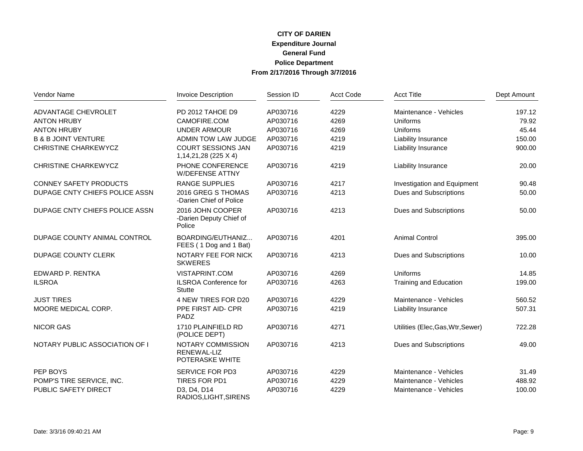# **CITY OF DARIEN CITY OF DARIEN<br>Expenditure Journal<br>General Fund<br>Police Department<br>From 2/17/2016 Through 3/7/2016**

| Vendor Name                    | <b>Invoice Description</b>                            | Session ID | <b>Acct Code</b> | <b>Acct Title</b>                 | Dept Amount |
|--------------------------------|-------------------------------------------------------|------------|------------------|-----------------------------------|-------------|
| ADVANTAGE CHEVROLET            | PD 2012 TAHOE D9                                      | AP030716   | 4229             | Maintenance - Vehicles            | 197.12      |
| <b>ANTON HRUBY</b>             | CAMOFIRE.COM                                          | AP030716   | 4269             | Uniforms                          | 79.92       |
| <b>ANTON HRUBY</b>             | <b>UNDER ARMOUR</b>                                   | AP030716   | 4269             | Uniforms                          | 45.44       |
| <b>B &amp; B JOINT VENTURE</b> | ADMIN TOW LAW JUDGE                                   | AP030716   | 4219             | Liability Insurance               | 150.00      |
| CHRISTINE CHARKEWYCZ           | <b>COURT SESSIONS JAN</b><br>1, 14, 21, 28 (225 X 4)  | AP030716   | 4219             | Liability Insurance               | 900.00      |
| <b>CHRISTINE CHARKEWYCZ</b>    | PHONE CONFERENCE<br><b>W/DEFENSE ATTNY</b>            | AP030716   | 4219             | Liability Insurance               | 20.00       |
| <b>CONNEY SAFETY PRODUCTS</b>  | <b>RANGE SUPPLIES</b>                                 | AP030716   | 4217             | Investigation and Equipment       | 90.48       |
| DUPAGE CNTY CHIEFS POLICE ASSN | 2016 GREG S THOMAS<br>-Darien Chief of Police         | AP030716   | 4213             | Dues and Subscriptions            | 50.00       |
| DUPAGE CNTY CHIEFS POLICE ASSN | 2016 JOHN COOPER<br>-Darien Deputy Chief of<br>Police | AP030716   | 4213             | Dues and Subscriptions            | 50.00       |
| DUPAGE COUNTY ANIMAL CONTROL   | BOARDING/EUTHANIZ<br>FEES (1 Dog and 1 Bat)           | AP030716   | 4201             | <b>Animal Control</b>             | 395.00      |
| <b>DUPAGE COUNTY CLERK</b>     | NOTARY FEE FOR NICK<br><b>SKWERES</b>                 | AP030716   | 4213             | Dues and Subscriptions            | 10.00       |
| EDWARD P. RENTKA               | VISTAPRINT.COM                                        | AP030716   | 4269             | Uniforms                          | 14.85       |
| <b>ILSROA</b>                  | <b>ILSROA Conference for</b><br><b>Stutte</b>         | AP030716   | 4263             | Training and Education            | 199.00      |
| <b>JUST TIRES</b>              | 4 NEW TIRES FOR D20                                   | AP030716   | 4229             | Maintenance - Vehicles            | 560.52      |
| MOORE MEDICAL CORP.            | PPE FIRST AID- CPR<br>PADZ                            | AP030716   | 4219             | <b>Liability Insurance</b>        | 507.31      |
| <b>NICOR GAS</b>               | 1710 PLAINFIELD RD<br>(POLICE DEPT)                   | AP030716   | 4271             | Utilities (Elec, Gas, Wtr, Sewer) | 722.28      |
| NOTARY PUBLIC ASSOCIATION OF I | NOTARY COMMISSION<br>RENEWAL-LIZ<br>POTERASKE WHITE   | AP030716   | 4213             | Dues and Subscriptions            | 49.00       |
| PEP BOYS                       | <b>SERVICE FOR PD3</b>                                | AP030716   | 4229             | Maintenance - Vehicles            | 31.49       |
| POMP'S TIRE SERVICE, INC.      | TIRES FOR PD1                                         | AP030716   | 4229             | Maintenance - Vehicles            | 488.92      |
| PUBLIC SAFETY DIRECT           | D3, D4, D14<br>RADIOS, LIGHT, SIRENS                  | AP030716   | 4229             | Maintenance - Vehicles            | 100.00      |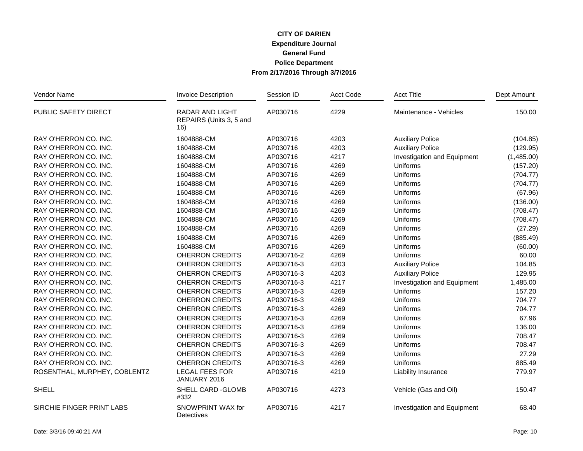## **CITY OF DARIEN Expenditure Journal CITY OF DARIEN<br>Expenditure Journal<br>General Fund<br>Police Department<br>From 2/17/2016 Through 3/7/2016**

| Vendor Name                  | <b>Invoice Description</b>                               | Session ID | Acct Code | <b>Acct Title</b>           | Dept Amount |
|------------------------------|----------------------------------------------------------|------------|-----------|-----------------------------|-------------|
| PUBLIC SAFETY DIRECT         | <b>RADAR AND LIGHT</b><br>REPAIRS (Units 3, 5 and<br>16) | AP030716   | 4229      | Maintenance - Vehicles      | 150.00      |
| RAY O'HERRON CO. INC.        | 1604888-CM                                               | AP030716   | 4203      | <b>Auxiliary Police</b>     | (104.85)    |
| RAY O'HERRON CO. INC.        | 1604888-CM                                               | AP030716   | 4203      | <b>Auxiliary Police</b>     | (129.95)    |
| RAY O'HERRON CO. INC.        | 1604888-CM                                               | AP030716   | 4217      | Investigation and Equipment | (1,485.00)  |
| RAY O'HERRON CO. INC.        | 1604888-CM                                               | AP030716   | 4269      | Uniforms                    | (157.20)    |
| RAY O'HERRON CO. INC.        | 1604888-CM                                               | AP030716   | 4269      | Uniforms                    | (704.77)    |
| RAY O'HERRON CO. INC.        | 1604888-CM                                               | AP030716   | 4269      | Uniforms                    | (704.77)    |
| RAY O'HERRON CO. INC.        | 1604888-CM                                               | AP030716   | 4269      | Uniforms                    | (67.96)     |
| RAY O'HERRON CO. INC.        | 1604888-CM                                               | AP030716   | 4269      | Uniforms                    | (136.00)    |
| RAY O'HERRON CO. INC.        | 1604888-CM                                               | AP030716   | 4269      | Uniforms                    | (708.47)    |
| RAY O'HERRON CO. INC.        | 1604888-CM                                               | AP030716   | 4269      | Uniforms                    | (708.47)    |
| RAY O'HERRON CO. INC.        | 1604888-CM                                               | AP030716   | 4269      | Uniforms                    | (27.29)     |
| RAY O'HERRON CO. INC.        | 1604888-CM                                               | AP030716   | 4269      | <b>Uniforms</b>             | (885.49)    |
| RAY O'HERRON CO. INC.        | 1604888-CM                                               | AP030716   | 4269      | Uniforms                    | (60.00)     |
| RAY O'HERRON CO. INC.        | <b>OHERRON CREDITS</b>                                   | AP030716-2 | 4269      | Uniforms                    | 60.00       |
| RAY O'HERRON CO. INC.        | <b>OHERRON CREDITS</b>                                   | AP030716-3 | 4203      | <b>Auxiliary Police</b>     | 104.85      |
| RAY O'HERRON CO. INC.        | OHERRON CREDITS                                          | AP030716-3 | 4203      | <b>Auxiliary Police</b>     | 129.95      |
| RAY O'HERRON CO. INC.        | <b>OHERRON CREDITS</b>                                   | AP030716-3 | 4217      | Investigation and Equipment | 1,485.00    |
| RAY O'HERRON CO. INC.        | <b>OHERRON CREDITS</b>                                   | AP030716-3 | 4269      | Uniforms                    | 157.20      |
| RAY O'HERRON CO. INC.        | <b>OHERRON CREDITS</b>                                   | AP030716-3 | 4269      | Uniforms                    | 704.77      |
| RAY O'HERRON CO. INC.        | OHERRON CREDITS                                          | AP030716-3 | 4269      | Uniforms                    | 704.77      |
| RAY O'HERRON CO. INC.        | OHERRON CREDITS                                          | AP030716-3 | 4269      | Uniforms                    | 67.96       |
| RAY O'HERRON CO. INC.        | <b>OHERRON CREDITS</b>                                   | AP030716-3 | 4269      | Uniforms                    | 136.00      |
| RAY O'HERRON CO. INC.        | <b>OHERRON CREDITS</b>                                   | AP030716-3 | 4269      | Uniforms                    | 708.47      |
| RAY O'HERRON CO. INC.        | <b>OHERRON CREDITS</b>                                   | AP030716-3 | 4269      | Uniforms                    | 708.47      |
| RAY O'HERRON CO. INC.        | <b>OHERRON CREDITS</b>                                   | AP030716-3 | 4269      | Uniforms                    | 27.29       |
| RAY O'HERRON CO. INC.        | <b>OHERRON CREDITS</b>                                   | AP030716-3 | 4269      | Uniforms                    | 885.49      |
| ROSENTHAL, MURPHEY, COBLENTZ | <b>LEGAL FEES FOR</b><br>JANUARY 2016                    | AP030716   | 4219      | <b>Liability Insurance</b>  | 779.97      |
| <b>SHELL</b>                 | SHELL CARD -GLOMB<br>#332                                | AP030716   | 4273      | Vehicle (Gas and Oil)       | 150.47      |
| SIRCHIE FINGER PRINT LABS    | SNOWPRINT WAX for<br>Detectives                          | AP030716   | 4217      | Investigation and Equipment | 68.40       |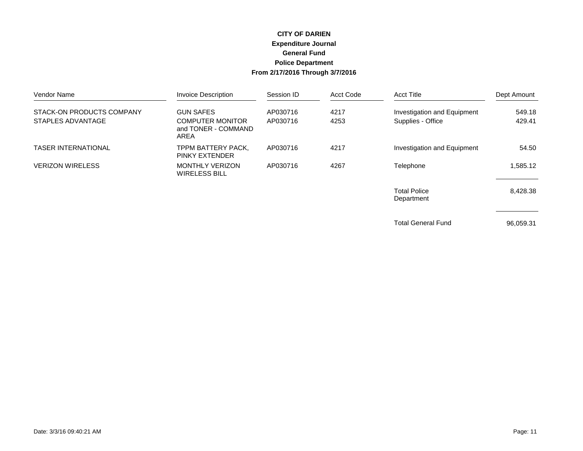#### **CITY OF DARIEN Expenditure Journal General Fund Police Department From 2/17/2016 Through 3/7/2016**

| Vendor Name                | <b>Invoice Description</b>                             | Session ID | Acct Code | <b>Acct Title</b>                 | Dept Amount |
|----------------------------|--------------------------------------------------------|------------|-----------|-----------------------------------|-------------|
| STACK-ON PRODUCTS COMPANY  | <b>GUN SAFES</b>                                       | AP030716   | 4217      | Investigation and Equipment       | 549.18      |
| STAPLES ADVANTAGE          | <b>COMPUTER MONITOR</b><br>and TONER - COMMAND<br>AREA | AP030716   | 4253      | Supplies - Office                 | 429.41      |
| <b>TASER INTERNATIONAL</b> | TPPM BATTERY PACK.<br><b>PINKY EXTENDER</b>            | AP030716   | 4217      | Investigation and Equipment       | 54.50       |
| <b>VERIZON WIRELESS</b>    | <b>MONTHLY VERIZON</b><br>WIRELESS BILL                | AP030716   | 4267      | Telephone                         | 1.585.12    |
|                            |                                                        |            |           | <b>Total Police</b><br>Department | 8,428.38    |

Total General Fund 96,059.31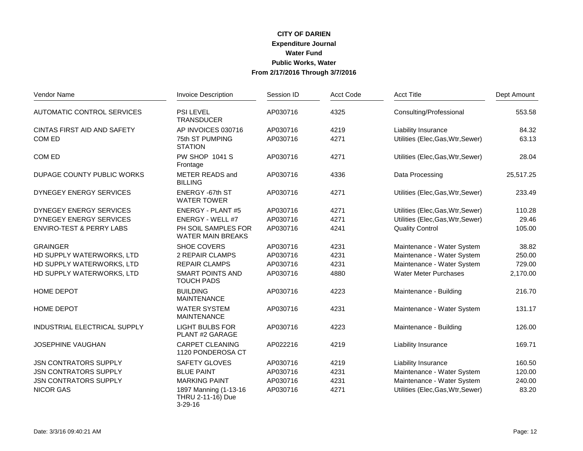## **CITY OF DARIEN Water Fund CITY OF DARIEN<br>Expenditure Journal<br>Water Fund<br>Public Works, Water<br>From 2/17/2016 Through 3/7/2016**

| Vendor Name                         | <b>Invoice Description</b>                                  | Session ID | <b>Acct Code</b> | <b>Acct Title</b>                 | Dept Amount |
|-------------------------------------|-------------------------------------------------------------|------------|------------------|-----------------------------------|-------------|
| AUTOMATIC CONTROL SERVICES          | <b>PSI LEVEL</b><br><b>TRANSDUCER</b>                       | AP030716   | 4325             | Consulting/Professional           | 553.58      |
| CINTAS FIRST AID AND SAFETY         | AP INVOICES 030716                                          | AP030716   | 4219             | <b>Liability Insurance</b>        | 84.32       |
| COM ED                              | 75th ST PUMPING<br><b>STATION</b>                           | AP030716   | 4271             | Utilities (Elec, Gas, Wtr, Sewer) | 63.13       |
| COM ED                              | <b>PW SHOP 1041 S</b><br>Frontage                           | AP030716   | 4271             | Utilities (Elec, Gas, Wtr, Sewer) | 28.04       |
| DUPAGE COUNTY PUBLIC WORKS          | METER READS and<br><b>BILLING</b>                           | AP030716   | 4336             | Data Processing                   | 25,517.25   |
| DYNEGEY ENERGY SERVICES             | ENERGY -67th ST<br><b>WATER TOWER</b>                       | AP030716   | 4271             | Utilities (Elec, Gas, Wtr, Sewer) | 233.49      |
| DYNEGEY ENERGY SERVICES             | <b>ENERGY - PLANT #5</b>                                    | AP030716   | 4271             | Utilities (Elec, Gas, Wtr, Sewer) | 110.28      |
| DYNEGEY ENERGY SERVICES             | ENERGY - WELL #7                                            | AP030716   | 4271             | Utilities (Elec, Gas, Wtr, Sewer) | 29.46       |
| <b>ENVIRO-TEST &amp; PERRY LABS</b> | PH SOIL SAMPLES FOR<br><b>WATER MAIN BREAKS</b>             | AP030716   | 4241             | <b>Quality Control</b>            | 105.00      |
| <b>GRAINGER</b>                     | SHOE COVERS                                                 | AP030716   | 4231             | Maintenance - Water System        | 38.82       |
| HD SUPPLY WATERWORKS, LTD           | 2 REPAIR CLAMPS                                             | AP030716   | 4231             | Maintenance - Water System        | 250.00      |
| HD SUPPLY WATERWORKS, LTD           | <b>REPAIR CLAMPS</b>                                        | AP030716   | 4231             | Maintenance - Water System        | 729.00      |
| HD SUPPLY WATERWORKS, LTD           | <b>SMART POINTS AND</b><br><b>TOUCH PADS</b>                | AP030716   | 4880             | <b>Water Meter Purchases</b>      | 2,170.00    |
| <b>HOME DEPOT</b>                   | <b>BUILDING</b><br><b>MAINTENANCE</b>                       | AP030716   | 4223             | Maintenance - Building            | 216.70      |
| <b>HOME DEPOT</b>                   | <b>WATER SYSTEM</b><br><b>MAINTENANCE</b>                   | AP030716   | 4231             | Maintenance - Water System        | 131.17      |
| INDUSTRIAL ELECTRICAL SUPPLY        | <b>LIGHT BULBS FOR</b><br>PLANT #2 GARAGE                   | AP030716   | 4223             | Maintenance - Building            | 126.00      |
| <b>JOSEPHINE VAUGHAN</b>            | <b>CARPET CLEANING</b><br>1120 PONDEROSA CT                 | AP022216   | 4219             | Liability Insurance               | 169.71      |
| <b>JSN CONTRATORS SUPPLY</b>        | SAFETY GLOVES                                               | AP030716   | 4219             | Liability Insurance               | 160.50      |
| <b>JSN CONTRATORS SUPPLY</b>        | <b>BLUE PAINT</b>                                           | AP030716   | 4231             | Maintenance - Water System        | 120.00      |
| <b>JSN CONTRATORS SUPPLY</b>        | <b>MARKING PAINT</b>                                        | AP030716   | 4231             | Maintenance - Water System        | 240.00      |
| <b>NICOR GAS</b>                    | 1897 Manning (1-13-16<br>THRU 2-11-16) Due<br>$3 - 29 - 16$ | AP030716   | 4271             | Utilities (Elec, Gas, Wtr, Sewer) | 83.20       |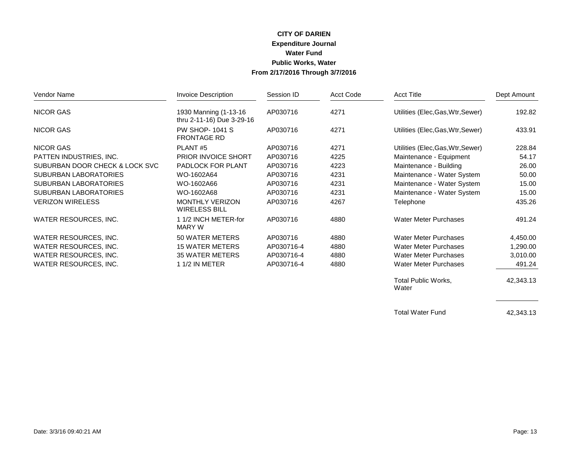#### **CITY OF DARIEN Expenditure Journal Water Fund Public Works, Water CITY OF DARIEN<br>Expenditure Journal<br>Water Fund<br>Public Works, Water<br>From 2/17/2016 Through 3/7/2016**

| Vendor Name                    | <b>Invoice Description</b>                          | Session ID | Acct Code | <b>Acct Title</b>                 | Dept Amount |
|--------------------------------|-----------------------------------------------------|------------|-----------|-----------------------------------|-------------|
| <b>NICOR GAS</b>               | 1930 Manning (1-13-16)<br>thru 2-11-16) Due 3-29-16 | AP030716   | 4271      | Utilities (Elec, Gas, Wtr, Sewer) | 192.82      |
| <b>NICOR GAS</b>               | <b>PW SHOP-1041 S</b><br><b>FRONTAGE RD</b>         | AP030716   | 4271      | Utilities (Elec, Gas, Wtr, Sewer) | 433.91      |
| <b>NICOR GAS</b>               | PLANT <sub>#5</sub>                                 | AP030716   | 4271      | Utilities (Elec, Gas, Wtr, Sewer) | 228.84      |
| PATTEN INDUSTRIES, INC.        | <b>PRIOR INVOICE SHORT</b>                          | AP030716   | 4225      | Maintenance - Equipment           | 54.17       |
| SUBURBAN DOOR CHECK & LOCK SVC | PADLOCK FOR PLANT                                   | AP030716   | 4223      | Maintenance - Building            | 26.00       |
| <b>SUBURBAN LABORATORIES</b>   | WO-1602A64                                          | AP030716   | 4231      | Maintenance - Water System        | 50.00       |
| <b>SUBURBAN LABORATORIES</b>   | WO-1602A66                                          | AP030716   | 4231      | Maintenance - Water System        | 15.00       |
| <b>SUBURBAN LABORATORIES</b>   | WO-1602A68                                          | AP030716   | 4231      | Maintenance - Water System        | 15.00       |
| <b>VERIZON WIRELESS</b>        | <b>MONTHLY VERIZON</b><br><b>WIRELESS BILL</b>      | AP030716   | 4267      | Telephone                         | 435.26      |
| WATER RESOURCES, INC.          | 1 1/2 INCH METER-for<br><b>MARY W</b>               | AP030716   | 4880      | <b>Water Meter Purchases</b>      | 491.24      |
| WATER RESOURCES, INC.          | 50 WATER METERS                                     | AP030716   | 4880      | Water Meter Purchases             | 4,450.00    |
| WATER RESOURCES, INC.          | <b>15 WATER METERS</b>                              | AP030716-4 | 4880      | Water Meter Purchases             | 1,290.00    |
| WATER RESOURCES, INC.          | <b>35 WATER METERS</b>                              | AP030716-4 | 4880      | <b>Water Meter Purchases</b>      | 3,010.00    |
| WATER RESOURCES, INC.          | 1 1/2 IN METER                                      | AP030716-4 | 4880      | <b>Water Meter Purchases</b>      | 491.24      |
|                                |                                                     |            |           | <b>Total Public Works,</b>        | 42,343.13   |

Water

Total Water Fund 42,343.13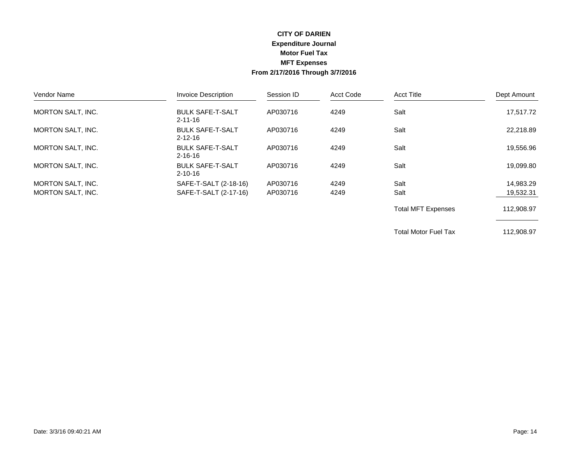#### **CITY OF DARIEN Expenditure Journal Motor Fuel Tax MFT Expenses From 2/17/2016 Through 3/7/2016**

| Vendor Name              | <b>Invoice Description</b>               | Session ID | Acct Code | <b>Acct Title</b>         | Dept Amount |
|--------------------------|------------------------------------------|------------|-----------|---------------------------|-------------|
| <b>MORTON SALT. INC.</b> | <b>BULK SAFE-T-SALT</b><br>$2 - 11 - 16$ | AP030716   | 4249      | Salt                      | 17.517.72   |
| MORTON SALT, INC.        | <b>BULK SAFE-T-SALT</b><br>$2 - 12 - 16$ | AP030716   | 4249      | Salt                      | 22,218.89   |
| <b>MORTON SALT, INC.</b> | <b>BULK SAFE-T-SALT</b><br>$2 - 16 - 16$ | AP030716   | 4249      | Salt                      | 19,556.96   |
| MORTON SALT, INC.        | <b>BULK SAFE-T-SALT</b><br>$2 - 10 - 16$ | AP030716   | 4249      | Salt                      | 19,099.80   |
| <b>MORTON SALT, INC.</b> | SAFE-T-SALT (2-18-16)                    | AP030716   | 4249      | Salt                      | 14,983.29   |
| <b>MORTON SALT, INC.</b> | SAFE-T-SALT (2-17-16)                    | AP030716   | 4249      | Salt                      | 19,532.31   |
|                          |                                          |            |           | <b>Total MFT Expenses</b> | 112,908.97  |

Total Motor Fuel Tax 112,908.97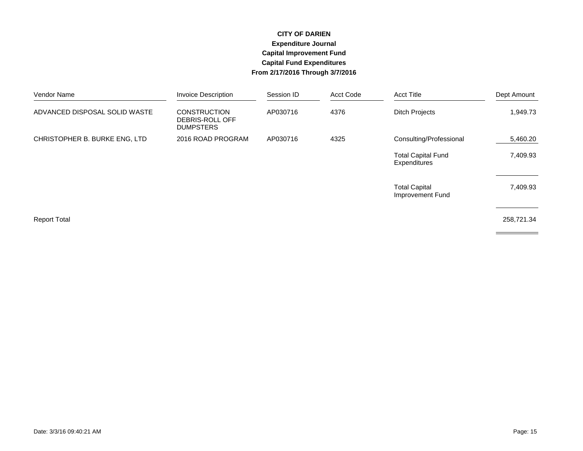#### **CITY OF DARIEN Expenditure Journal Capital Improvement Fund Capital Fund Expenditures From 2/17/2016 Through 3/7/2016**

| Vendor Name                   | <b>Invoice Description</b>                                 | Session ID | Acct Code | <b>Acct Title</b>                         | Dept Amount |
|-------------------------------|------------------------------------------------------------|------------|-----------|-------------------------------------------|-------------|
| ADVANCED DISPOSAL SOLID WASTE | <b>CONSTRUCTION</b><br>DEBRIS-ROLL OFF<br><b>DUMPSTERS</b> | AP030716   | 4376      | <b>Ditch Projects</b>                     | 1,949.73    |
| CHRISTOPHER B. BURKE ENG, LTD | 2016 ROAD PROGRAM                                          | AP030716   | 4325      | Consulting/Professional                   | 5,460.20    |
|                               |                                                            |            |           | <b>Total Capital Fund</b><br>Expenditures | 7,409.93    |
|                               |                                                            |            |           | <b>Total Capital</b><br>Improvement Fund  | 7,409.93    |
| <b>Report Total</b>           |                                                            |            |           |                                           | 258,721.34  |
|                               |                                                            |            |           |                                           |             |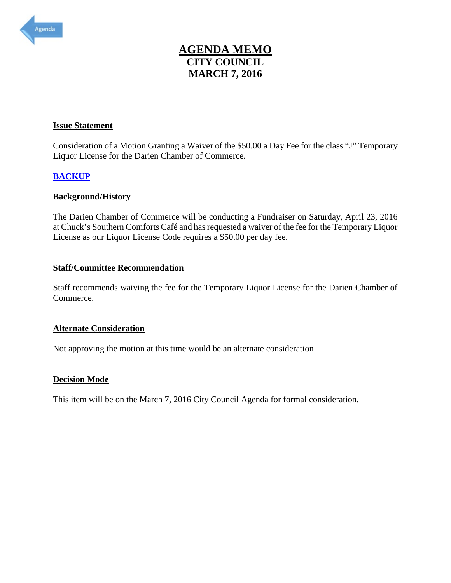<span id="page-28-0"></span>

## **AGENDA MEMO CITY COUNCIL MARCH 7, 2016 AGENDA MEMO<br>CITY COUNCIL<br>MARCH 7, 2016**<br>Issue Statement

 Liquor License for the Darien Chamber of Commerce. Consideration of a Motion Granting a Waiver of the \$50.00 a Day Fee for the class "J" Temporary

### **[BACKUP](#page-29-0)**

### **Background/History**

 at Chuck's Southern Comforts Café and has requested a waiver of the fee for the Temporary Liquor License as our Liquor License Code requires a \$50.00 per day fee. The Darien Chamber of Commerce will be conducting a Fundraiser on Saturday, April 23, 2016

#### **Staff/Committee Recommendation**

 Staff recommends waiving the fee for the Temporary Liquor License for the Darien Chamber of Commerce.

#### **Alternate Consideration**

Not approving the motion at this time would be an alternate consideration.

### **Decision Mode**

This item will be on the March 7, 2016 City Council Agenda for formal consideration.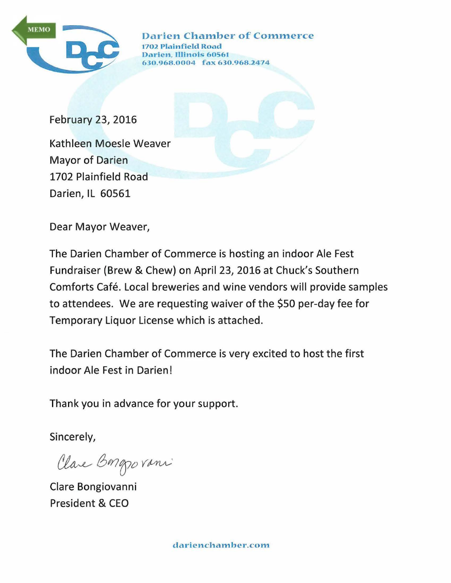<span id="page-29-0"></span>

Darien Chamber of Commerce 2 Plainfield Road Darien, IUinois 60561 630.968.0004 fax 630.968.2474

February 23, 2016 Kathleen Moesle Weaver Mayor of Darien 1702 Plainfield Road Darien, IL 60561

Dear Mayor Weaver,

The Darien Chamber of Commerce is hosting an indoor Ale Fest Fundraiser (Brew & Chew) on April 23, 2016 at Chuck's Southern Comforts Café. Local breweries and wine vendors will provide samples to attendees. We are requesting waiver of the \$50 per-day fee for Temporary Liquor License which is attached.

The Darien Chamber of Commerce is very excited to host the first indoor Ale Fest in Darien!

Thank you in advance for your support.

Sincerely,

Clare Bongovani

Clare Bongiovanni President & CEO